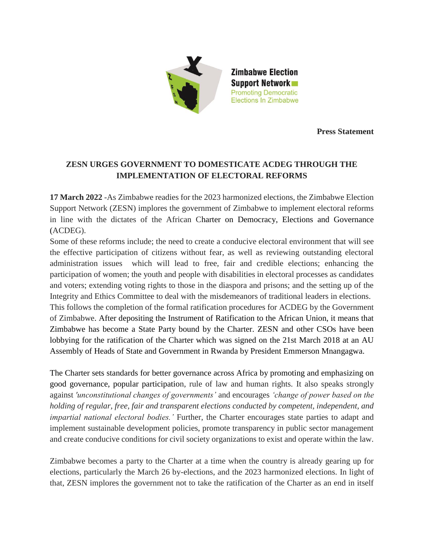

**Press Statement**

## **ZESN URGES GOVERNMENT TO DOMESTICATE ACDEG THROUGH THE IMPLEMENTATION OF ELECTORAL REFORMS**

**17 March 2022** -As Zimbabwe readies for the 2023 harmonized elections, the Zimbabwe Election Support Network (ZESN) implores the government of Zimbabwe to implement electoral reforms in line with the dictates of the African Charter on Democracy, Elections and Governance (ACDEG).

Some of these reforms include; the need to create a conducive electoral environment that will see the effective participation of citizens without fear, as well as reviewing outstanding electoral administration issues which will lead to free, fair and credible elections; enhancing the participation of women; the youth and people with disabilities in electoral processes as candidates and voters; extending voting rights to those in the diaspora and prisons; and the setting up of the Integrity and Ethics Committee to deal with the misdemeanors of traditional leaders in elections. This follows the completion of the formal ratification procedures for ACDEG by the Government of Zimbabwe. After depositing the Instrument of Ratification to the African Union, it means that Zimbabwe has become a State Party bound by the Charter. ZESN and other CSOs have been lobbying for the ratification of the Charter which was signed on the 21st March 2018 at an AU Assembly of Heads of State and Government in Rwanda by President Emmerson Mnangagwa.

The Charter sets standards for better governance across Africa by promoting and emphasizing on good governance, popular participation, rule of law and human rights. It also speaks strongly against *'unconstitutional changes of governments'* and encourages *'change of power based on the holding of regular, free, fair and transparent elections conducted by competent, independent, and impartial national electoral bodies.'* Further, the Charter encourages state parties to adapt and implement sustainable development policies, promote transparency in public sector management and create conducive conditions for civil society organizations to exist and operate within the law.

Zimbabwe becomes a party to the Charter at a time when the country is already gearing up for elections, particularly the March 26 by-elections, and the 2023 harmonized elections. In light of that, ZESN implores the government not to take the ratification of the Charter as an end in itself